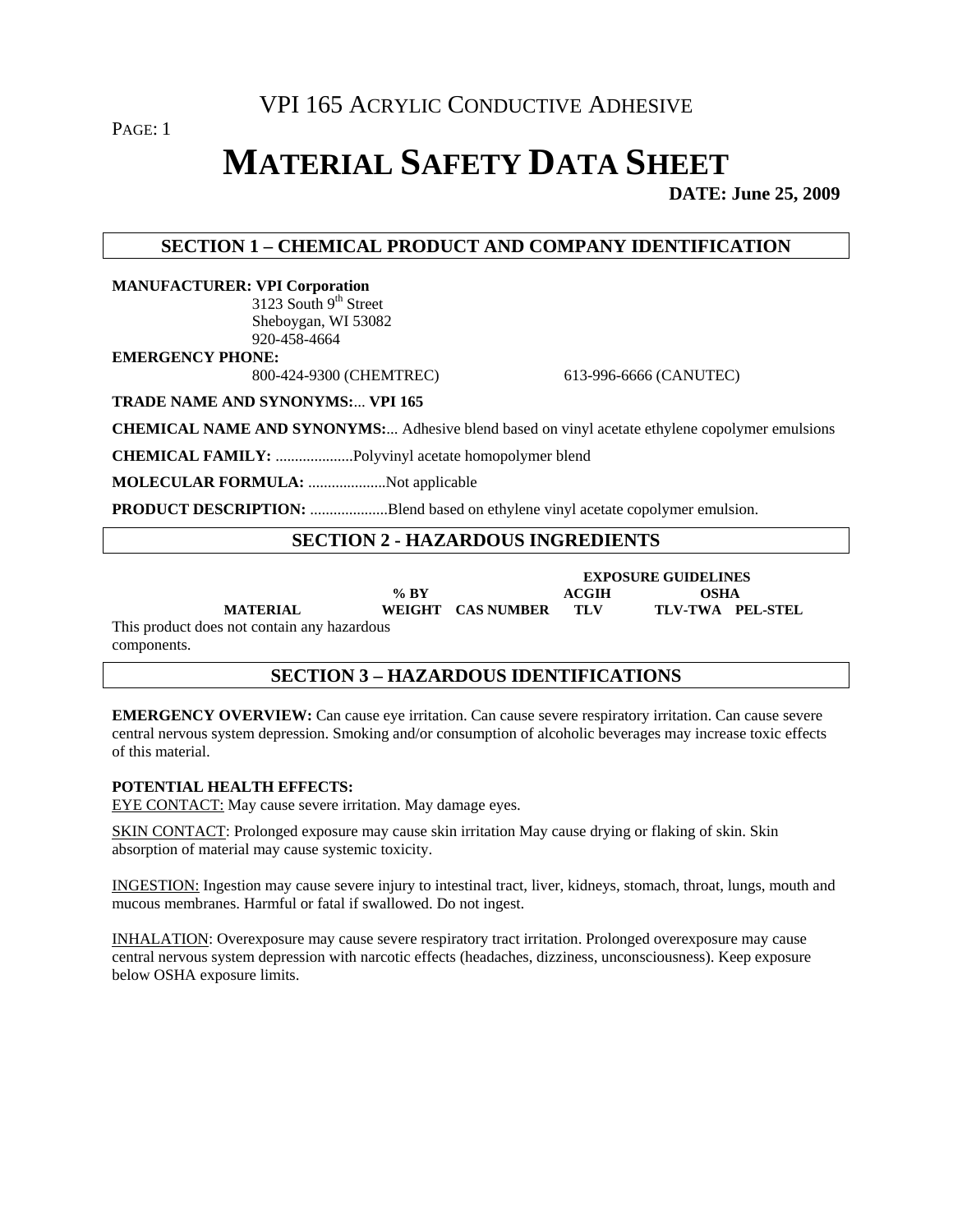PAGE: 1

# **MATERIAL SAFETY DATA SHEET**

**DATE: June 25, 2009** 

## **SECTION 1 – CHEMICAL PRODUCT AND COMPANY IDENTIFICATION**

**MANUFACTURER: VPI Corporation**  3123 South  $9<sup>th</sup>$  Street Sheboygan, WI 53082 920-458-4664

**EMERGENCY PHONE:** 

800-424-9300 (CHEMTREC) 613-996-6666 (CANUTEC)

**TRADE NAME AND SYNONYMS:**... **VPI 165**

**CHEMICAL NAME AND SYNONYMS:**... Adhesive blend based on vinyl acetate ethylene copolymer emulsions

**CHEMICAL FAMILY:** ....................Polyvinyl acetate homopolymer blend

**MOLECULAR FORMULA:** ....................Not applicable

**PRODUCT DESCRIPTION:** ....................Blend based on ethylene vinyl acetate copolymer emulsion.

## **SECTION 2 - HAZARDOUS INGREDIENTS**

| % BY   |            |
|--------|------------|
| WELCHE | $\sqrt{ }$ |

**ACGIH OSHA<br>TLV TLV-TWA PEL-STEL** 

 **EXPOSURE GUIDELINES** 

**MATERIAL WEIGHT CAS NUMBER TLV** 

This product does not contain any hazardous components.

## **SECTION 3 – HAZARDOUS IDENTIFICATIONS**

**EMERGENCY OVERVIEW:** Can cause eye irritation. Can cause severe respiratory irritation. Can cause severe central nervous system depression. Smoking and/or consumption of alcoholic beverages may increase toxic effects of this material.

#### **POTENTIAL HEALTH EFFECTS:**

EYE CONTACT: May cause severe irritation. May damage eyes.

SKIN CONTACT: Prolonged exposure may cause skin irritation May cause drying or flaking of skin. Skin absorption of material may cause systemic toxicity.

INGESTION: Ingestion may cause severe injury to intestinal tract, liver, kidneys, stomach, throat, lungs, mouth and mucous membranes. Harmful or fatal if swallowed. Do not ingest.

INHALATION: Overexposure may cause severe respiratory tract irritation. Prolonged overexposure may cause central nervous system depression with narcotic effects (headaches, dizziness, unconsciousness). Keep exposure below OSHA exposure limits.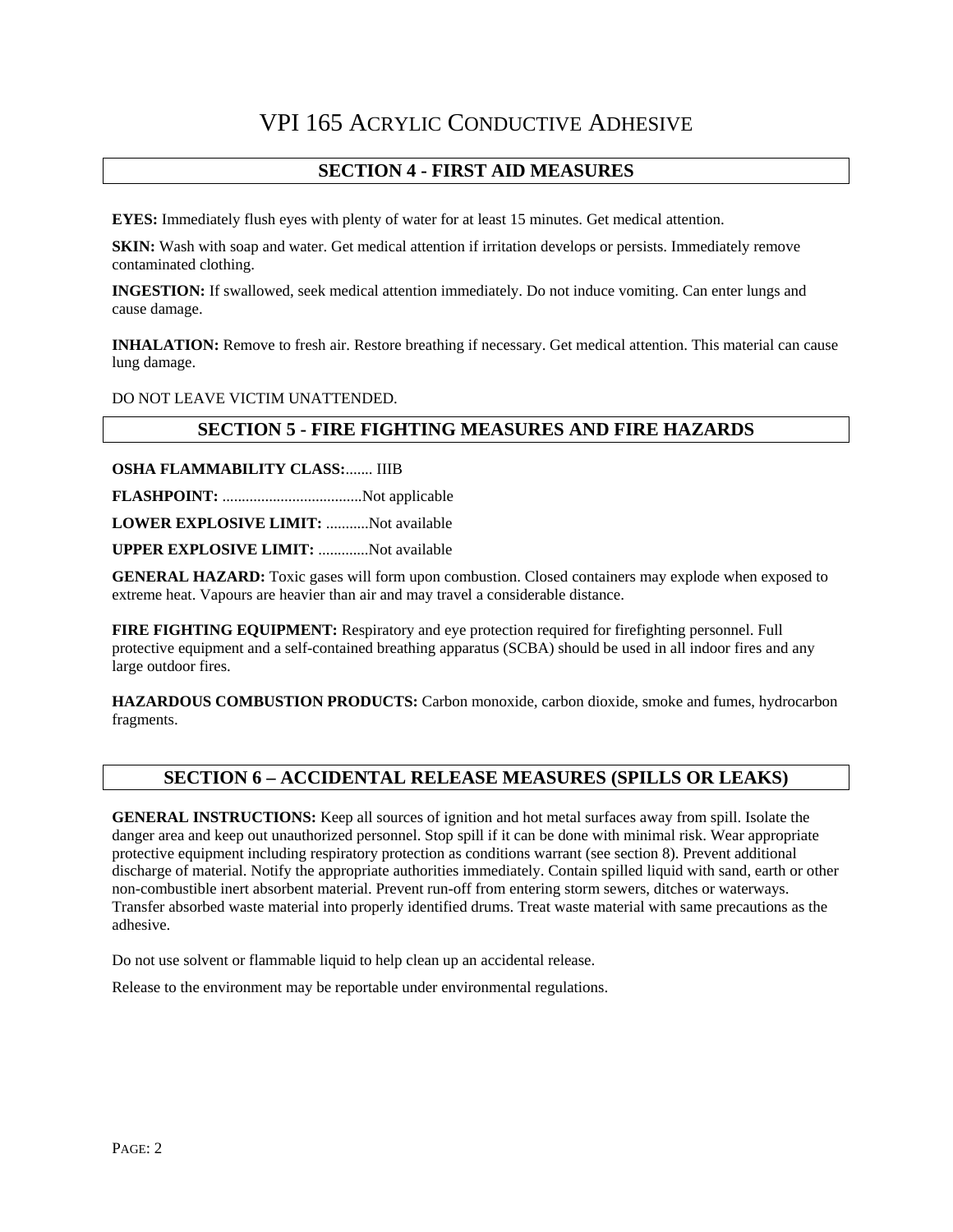## **SECTION 4 - FIRST AID MEASURES**

**EYES:** Immediately flush eyes with plenty of water for at least 15 minutes. Get medical attention.

**SKIN:** Wash with soap and water. Get medical attention if irritation develops or persists. Immediately remove contaminated clothing.

**INGESTION:** If swallowed, seek medical attention immediately. Do not induce vomiting. Can enter lungs and cause damage.

**INHALATION:** Remove to fresh air. Restore breathing if necessary. Get medical attention. This material can cause lung damage.

DO NOT LEAVE VICTIM UNATTENDED.

#### **SECTION 5 - FIRE FIGHTING MEASURES AND FIRE HAZARDS**

**OSHA FLAMMABILITY CLASS:**....... IIIB

**FLASHPOINT:** ....................................Not applicable

**LOWER EXPLOSIVE LIMIT:** ...........Not available

**UPPER EXPLOSIVE LIMIT:** .............Not available

**GENERAL HAZARD:** Toxic gases will form upon combustion. Closed containers may explode when exposed to extreme heat. Vapours are heavier than air and may travel a considerable distance.

**FIRE FIGHTING EQUIPMENT:** Respiratory and eye protection required for firefighting personnel. Full protective equipment and a self-contained breathing apparatus (SCBA) should be used in all indoor fires and any large outdoor fires.

**HAZARDOUS COMBUSTION PRODUCTS:** Carbon monoxide, carbon dioxide, smoke and fumes, hydrocarbon fragments.

## **SECTION 6 – ACCIDENTAL RELEASE MEASURES (SPILLS OR LEAKS)**

**GENERAL INSTRUCTIONS:** Keep all sources of ignition and hot metal surfaces away from spill. Isolate the danger area and keep out unauthorized personnel. Stop spill if it can be done with minimal risk. Wear appropriate protective equipment including respiratory protection as conditions warrant (see section 8). Prevent additional discharge of material. Notify the appropriate authorities immediately. Contain spilled liquid with sand, earth or other non-combustible inert absorbent material. Prevent run-off from entering storm sewers, ditches or waterways. Transfer absorbed waste material into properly identified drums. Treat waste material with same precautions as the adhesive.

Do not use solvent or flammable liquid to help clean up an accidental release.

Release to the environment may be reportable under environmental regulations.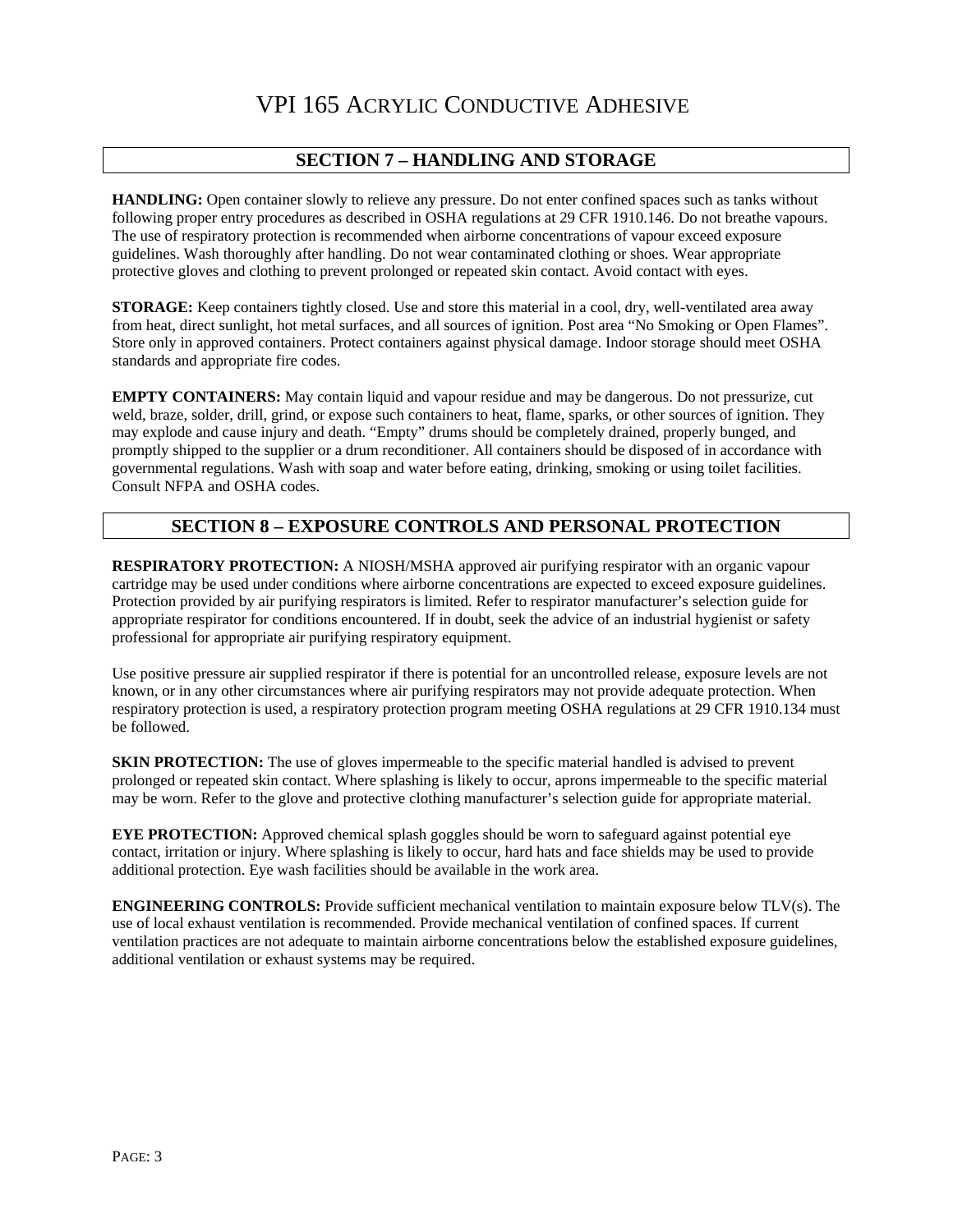#### **SECTION 7 – HANDLING AND STORAGE**

**HANDLING:** Open container slowly to relieve any pressure. Do not enter confined spaces such as tanks without following proper entry procedures as described in OSHA regulations at 29 CFR 1910.146. Do not breathe vapours. The use of respiratory protection is recommended when airborne concentrations of vapour exceed exposure guidelines. Wash thoroughly after handling. Do not wear contaminated clothing or shoes. Wear appropriate protective gloves and clothing to prevent prolonged or repeated skin contact. Avoid contact with eyes.

**STORAGE:** Keep containers tightly closed. Use and store this material in a cool, dry, well-ventilated area away from heat, direct sunlight, hot metal surfaces, and all sources of ignition. Post area "No Smoking or Open Flames". Store only in approved containers. Protect containers against physical damage. Indoor storage should meet OSHA standards and appropriate fire codes.

**EMPTY CONTAINERS:** May contain liquid and vapour residue and may be dangerous. Do not pressurize, cut weld, braze, solder, drill, grind, or expose such containers to heat, flame, sparks, or other sources of ignition. They may explode and cause injury and death. "Empty" drums should be completely drained, properly bunged, and promptly shipped to the supplier or a drum reconditioner. All containers should be disposed of in accordance with governmental regulations. Wash with soap and water before eating, drinking, smoking or using toilet facilities. Consult NFPA and OSHA codes.

## **SECTION 8 – EXPOSURE CONTROLS AND PERSONAL PROTECTION**

**RESPIRATORY PROTECTION:** A NIOSH/MSHA approved air purifying respirator with an organic vapour cartridge may be used under conditions where airborne concentrations are expected to exceed exposure guidelines. Protection provided by air purifying respirators is limited. Refer to respirator manufacturer's selection guide for appropriate respirator for conditions encountered. If in doubt, seek the advice of an industrial hygienist or safety professional for appropriate air purifying respiratory equipment.

Use positive pressure air supplied respirator if there is potential for an uncontrolled release, exposure levels are not known, or in any other circumstances where air purifying respirators may not provide adequate protection. When respiratory protection is used, a respiratory protection program meeting OSHA regulations at 29 CFR 1910.134 must be followed.

**SKIN PROTECTION:** The use of gloves impermeable to the specific material handled is advised to prevent prolonged or repeated skin contact. Where splashing is likely to occur, aprons impermeable to the specific material may be worn. Refer to the glove and protective clothing manufacturer's selection guide for appropriate material.

**EYE PROTECTION:** Approved chemical splash goggles should be worn to safeguard against potential eye contact, irritation or injury. Where splashing is likely to occur, hard hats and face shields may be used to provide additional protection. Eye wash facilities should be available in the work area.

**ENGINEERING CONTROLS:** Provide sufficient mechanical ventilation to maintain exposure below TLV(s). The use of local exhaust ventilation is recommended. Provide mechanical ventilation of confined spaces. If current ventilation practices are not adequate to maintain airborne concentrations below the established exposure guidelines, additional ventilation or exhaust systems may be required.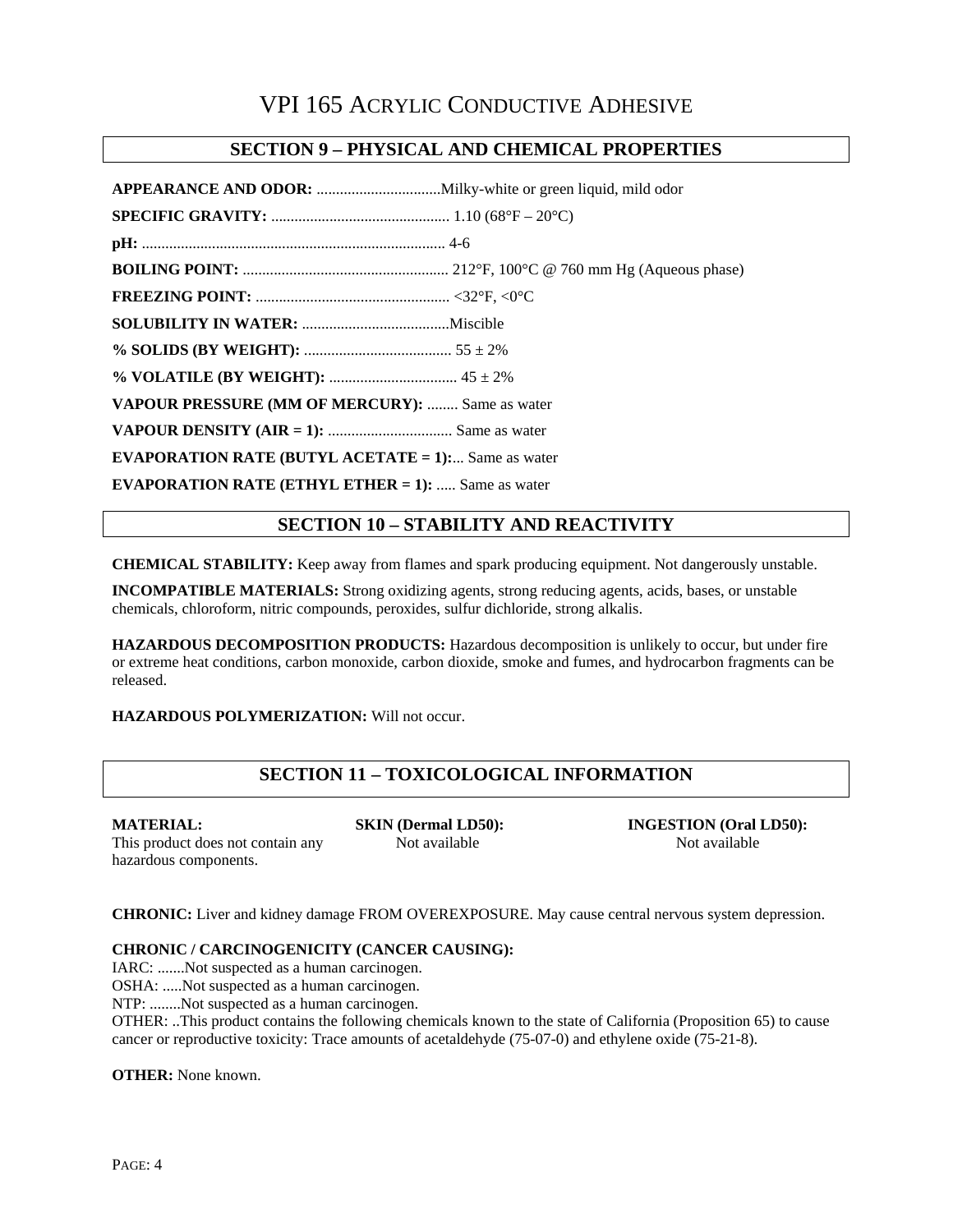#### **SECTION 9 – PHYSICAL AND CHEMICAL PROPERTIES**

| VAPOUR PRESSURE (MM OF MERCURY):  Same as water            |  |  |
|------------------------------------------------------------|--|--|
|                                                            |  |  |
| <b>EVAPORATION RATE (BUTYL ACETATE = 1):</b> Same as water |  |  |
| <b>EVAPORATION RATE (ETHYL ETHER = 1):</b> Same as water   |  |  |

#### **SECTION 10 – STABILITY AND REACTIVITY**

**CHEMICAL STABILITY:** Keep away from flames and spark producing equipment. Not dangerously unstable.

**INCOMPATIBLE MATERIALS:** Strong oxidizing agents, strong reducing agents, acids, bases, or unstable chemicals, chloroform, nitric compounds, peroxides, sulfur dichloride, strong alkalis.

**HAZARDOUS DECOMPOSITION PRODUCTS:** Hazardous decomposition is unlikely to occur, but under fire or extreme heat conditions, carbon monoxide, carbon dioxide, smoke and fumes, and hydrocarbon fragments can be released.

**HAZARDOUS POLYMERIZATION:** Will not occur.

## **SECTION 11 – TOXICOLOGICAL INFORMATION**

hazardous components.

This product does not contain any Not available Not available Not available

**MATERIAL: SKIN (Dermal LD50): INGESTION (Oral LD50):** 

**CHRONIC:** Liver and kidney damage FROM OVEREXPOSURE. May cause central nervous system depression.

#### **CHRONIC / CARCINOGENICITY (CANCER CAUSING):**

IARC: .......Not suspected as a human carcinogen.

OSHA: .....Not suspected as a human carcinogen.

NTP: ........Not suspected as a human carcinogen.

OTHER: ..This product contains the following chemicals known to the state of California (Proposition 65) to cause cancer or reproductive toxicity: Trace amounts of acetaldehyde (75-07-0) and ethylene oxide (75-21-8).

**OTHER:** None known.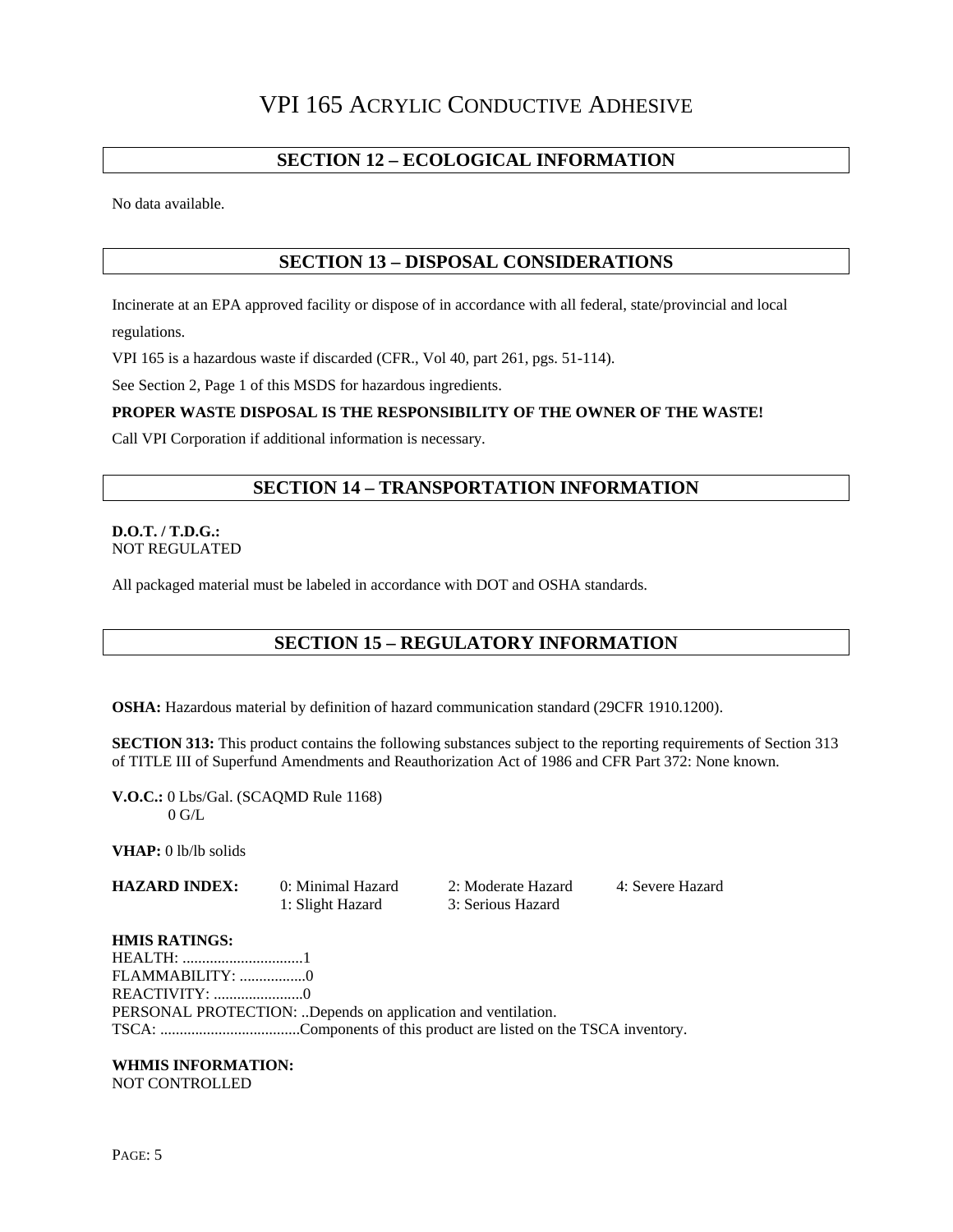#### **SECTION 12 – ECOLOGICAL INFORMATION**

No data available.

#### **SECTION 13 – DISPOSAL CONSIDERATIONS**

Incinerate at an EPA approved facility or dispose of in accordance with all federal, state/provincial and local regulations.

VPI 165 is a hazardous waste if discarded (CFR., Vol 40, part 261, pgs. 51-114).

See Section 2, Page 1 of this MSDS for hazardous ingredients.

#### **PROPER WASTE DISPOSAL IS THE RESPONSIBILITY OF THE OWNER OF THE WASTE!**

Call VPI Corporation if additional information is necessary.

## **SECTION 14 – TRANSPORTATION INFORMATION**

#### **D.O.T. / T.D.G.:**  NOT REGULATED

All packaged material must be labeled in accordance with DOT and OSHA standards.

## **SECTION 15 – REGULATORY INFORMATION**

**OSHA:** Hazardous material by definition of hazard communication standard (29CFR 1910.1200).

**SECTION 313:** This product contains the following substances subject to the reporting requirements of Section 313 of TITLE III of Superfund Amendments and Reauthorization Act of 1986 and CFR Part 372: None known.

**V.O.C.:** 0 Lbs/Gal. (SCAQMD Rule 1168)  $0$  G/L

**VHAP:** 0 lb/lb solids

**HAZARD INDEX:** 0: Minimal Hazard 2: Moderate Hazard 4: Severe Hazard 1: Slight Hazard 3: Serious Hazard

#### **HMIS RATINGS:**

HEALTH: ...............................1 FLAMMABILITY: .................0 REACTIVITY: .......................0 PERSONAL PROTECTION: ..Depends on application and ventilation. TSCA: ....................................Components of this product are listed on the TSCA inventory.

#### **WHMIS INFORMATION:**

NOT CONTROLLED